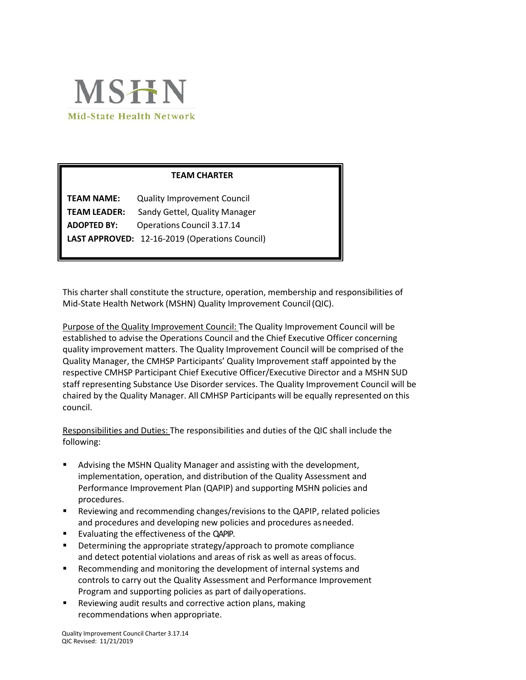

# **TEAM CHARTER**

| <b>TEAM NAME:</b>   | <b>Quality Improvement Council</b>             |
|---------------------|------------------------------------------------|
| <b>TEAM LEADER:</b> | Sandy Gettel, Quality Manager                  |
| <b>ADOPTED BY:</b>  | <b>Operations Council 3.17.14</b>              |
|                     | LAST APPROVED: 12-16-2019 (Operations Council) |

This charter shall constitute the structure, operation, membership and responsibilities of Mid-State Health Network (MSHN) Quality Improvement Council(QIC).

Purpose of the Quality Improvement Council: The Quality Improvement Council will be established to advise the Operations Council and the Chief Executive Officer concerning quality improvement matters. The Quality Improvement Council will be comprised of the Quality Manager, the CMHSP Participants' Quality Improvement staff appointed by the respective CMHSP Participant Chief Executive Officer/Executive Director and a MSHN SUD staff representing Substance Use Disorder services. The Quality Improvement Council will be chaired by the Quality Manager. All CMHSP Participants will be equally represented on this council.

Responsibilities and Duties: The responsibilities and duties of the QIC shall include the following:

- Advising the MSHN Quality Manager and assisting with the development, implementation, operation, and distribution of the Quality Assessment and Performance Improvement Plan (QAPIP) and supporting MSHN policies and procedures.
- Reviewing and recommending changes/revisions to the QAPIP, related policies and procedures and developing new policies and procedures asneeded.
- Evaluating the effectiveness of the QAPIP.
- **•** Determining the appropriate strategy/approach to promote compliance and detect potential violations and areas of risk as well as areas offocus.
- Recommending and monitoring the development of internal systems and controls to carry out the Quality Assessment and Performance Improvement Program and supporting policies as part of dailyoperations.
- Reviewing audit results and corrective action plans, making recommendations when appropriate.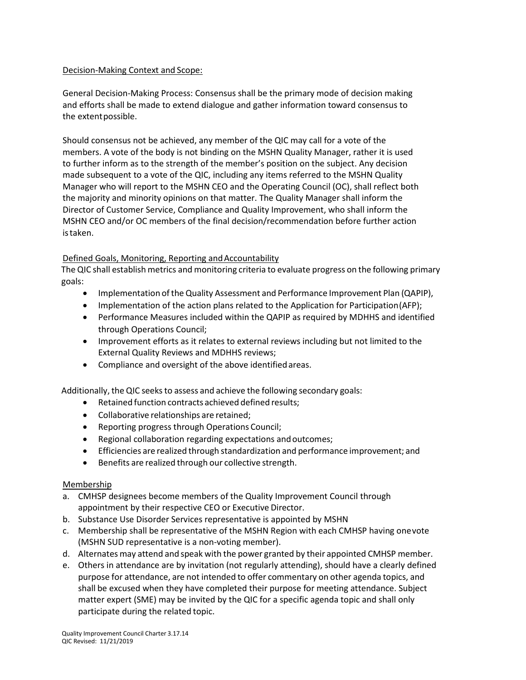# Decision-Making Context and Scope:

General Decision-Making Process: Consensus shall be the primary mode of decision making and efforts shall be made to extend dialogue and gather information toward consensus to the extentpossible.

Should consensus not be achieved, any member of the QIC may call for a vote of the members. A vote of the body is not binding on the MSHN Quality Manager, rather it is used to further inform as to the strength of the member's position on the subject. Any decision made subsequent to a vote of the QIC, including any items referred to the MSHN Quality Manager who will report to the MSHN CEO and the Operating Council (OC), shall reflect both the majority and minority opinions on that matter. The Quality Manager shall inform the Director of Customer Service, Compliance and Quality Improvement, who shall inform the MSHN CEO and/or OC members of the final decision/recommendation before further action istaken.

# Defined Goals, Monitoring, Reporting and Accountability

The QIC shall establish metrics and monitoring criteria to evaluate progress on the following primary goals:

- Implementation of the Quality Assessment and Performance Improvement Plan (QAPIP),
- Implementation of the action plans related to the Application for Participation (AFP);
- Performance Measures included within the QAPIP as required by MDHHS and identified through Operations Council;
- Improvement efforts as it relates to external reviews including but not limited to the External Quality Reviews and MDHHS reviews;
- Compliance and oversight of the above identifiedareas.

Additionally, the QIC seeksto assess and achieve the following secondary goals:

- Retained function contracts achieved defined results;
- Collaborative relationships are retained;
- Reporting progress through Operations Council;
- Regional collaboration regarding expectations and outcomes;
- Efficiencies are realized through standardization and performance improvement; and
- Benefits are realized through our collective strength.

# Membership

- a. CMHSP designees become members of the Quality Improvement Council through appointment by their respective CEO or Executive Director.
- b. Substance Use Disorder Services representative is appointed by MSHN
- c. Membership shall be representative of the MSHN Region with each CMHSP having onevote (MSHN SUD representative is a non-voting member).
- d. Alternates may attend and speak with the power granted by their appointed CMHSP member.
- e. Others in attendance are by invitation (not regularly attending), should have a clearly defined purpose for attendance, are not intended to offer commentary on other agenda topics, and shall be excused when they have completed their purpose for meeting attendance. Subject matter expert (SME) may be invited by the QIC for a specific agenda topic and shall only participate during the related topic.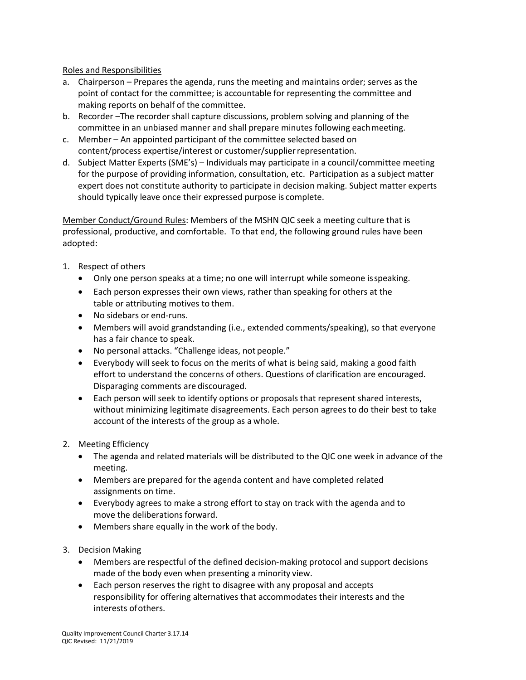# Roles and Responsibilities

- a. Chairperson Prepares the agenda, runs the meeting and maintains order; serves as the point of contact for the committee; is accountable for representing the committee and making reports on behalf of the committee.
- b. Recorder –The recorder shall capture discussions, problem solving and planning of the committee in an unbiased manner and shall prepare minutes following eachmeeting.
- c. Member An appointed participant of the committee selected based on content/process expertise/interest or customer/supplierrepresentation.
- d. Subject Matter Experts (SME's) Individuals may participate in a council/committee meeting for the purpose of providing information, consultation, etc. Participation as a subject matter expert does not constitute authority to participate in decision making. Subject matter experts should typically leave once their expressed purpose is complete.

Member Conduct/Ground Rules: Members of the MSHN QIC seek a meeting culture that is professional, productive, and comfortable. To that end, the following ground rules have been adopted:

- 1. Respect of others
	- Only one person speaks at a time; no one will interrupt while someone isspeaking.
	- Each person expresses their own views, rather than speaking for others at the table or attributing motives to them.
	- No sidebars or end-runs.
	- Members will avoid grandstanding (i.e., extended comments/speaking), so that everyone has a fair chance to speak.
	- No personal attacks. "Challenge ideas, not people."
	- Everybody will seek to focus on the merits of what is being said, making a good faith effort to understand the concerns of others. Questions of clarification are encouraged. Disparaging comments are discouraged.
	- Each person will seek to identify options or proposals that represent shared interests, without minimizing legitimate disagreements. Each person agrees to do their best to take account of the interests of the group as a whole.
- 2. Meeting Efficiency
	- The agenda and related materials will be distributed to the QIC one week in advance of the meeting.
	- Members are prepared for the agenda content and have completed related assignments on time.
	- Everybody agrees to make a strong effort to stay on track with the agenda and to move the deliberations forward.
	- Members share equally in the work of the body.
- 3. Decision Making
	- Members are respectful of the defined decision-making protocol and support decisions made of the body even when presenting a minority view.
	- Each person reserves the right to disagree with any proposal and accepts responsibility for offering alternatives that accommodates their interests and the interests ofothers.